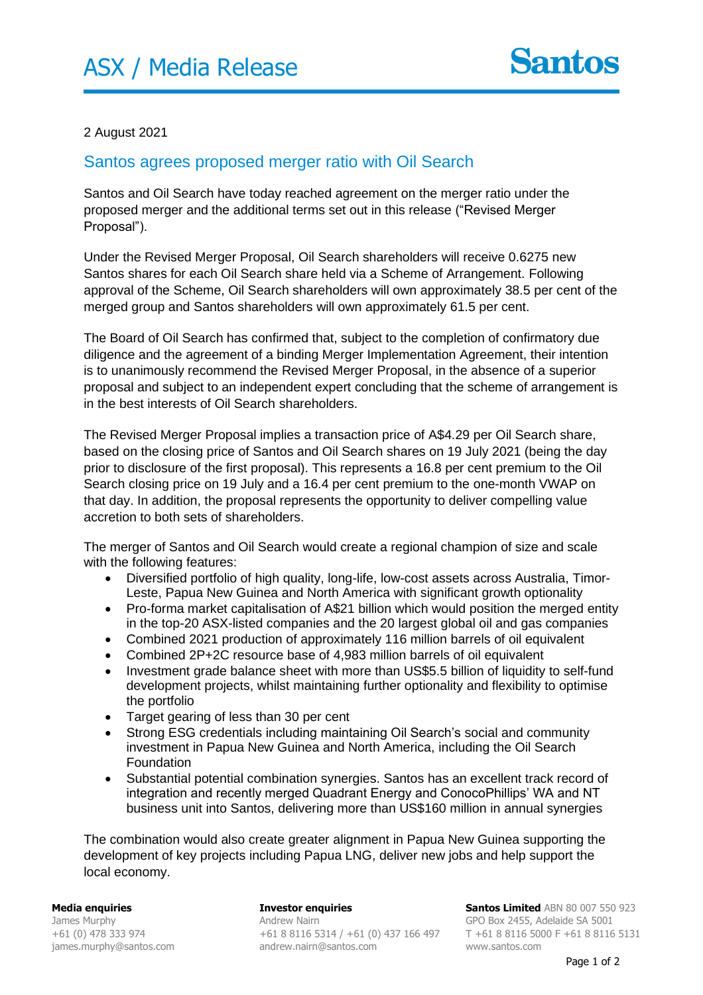#### 2 August 2021

#### Santos agrees proposed merger ratio with Oil Search

Santos and Oil Search have today reached agreement on the merger ratio under the proposed merger and the additional terms set out in this release ("Revised Merger Proposal").

Under the Revised Merger Proposal, Oil Search shareholders will receive 0.6275 new Santos shares for each Oil Search share held via a Scheme of Arrangement. Following approval of the Scheme, Oil Search shareholders will own approximately 38.5 per cent of the merged group and Santos shareholders will own approximately 61.5 per cent.

The Board of Oil Search has confirmed that, subject to the completion of confirmatory due diligence and the agreement of a binding Merger Implementation Agreement, their intention is to unanimously recommend the Revised Merger Proposal, in the absence of a superior proposal and subject to an independent expert concluding that the scheme of arrangement is in the best interests of Oil Search shareholders.

The Revised Merger Proposal implies a transaction price of A\$4.29 per Oil Search share, based on the closing price of Santos and Oil Search shares on 19 July 2021 (being the day prior to disclosure of the first proposal). This represents a 16.8 per cent premium to the Oil Search closing price on 19 July and a 16.4 per cent premium to the one-month VWAP on that day. In addition, the proposal represents the opportunity to deliver compelling value accretion to both sets of shareholders.

The merger of Santos and Oil Search would create a regional champion of size and scale with the following features:

- Diversified portfolio of high quality, long-life, low-cost assets across Australia, Timor-Leste, Papua New Guinea and North America with significant growth optionality
- Pro-forma market capitalisation of A\$21 billion which would position the merged entity in the top-20 ASX-listed companies and the 20 largest global oil and gas companies
- Combined 2021 production of approximately 116 million barrels of oil equivalent
- Combined 2P+2C resource base of 4,983 million barrels of oil equivalent
- Investment grade balance sheet with more than US\$5.5 billion of liquidity to self-fund development projects, whilst maintaining further optionality and flexibility to optimise the portfolio
- Target gearing of less than 30 per cent
- Strong ESG credentials including maintaining Oil Search's social and community investment in Papua New Guinea and North America, including the Oil Search Foundation
- Substantial potential combination synergies. Santos has an excellent track record of integration and recently merged Quadrant Energy and ConocoPhillips' WA and NT business unit into Santos, delivering more than US\$160 million in annual synergies

The combination would also create greater alignment in Papua New Guinea supporting the development of key projects including Papua LNG, deliver new jobs and help support the local economy.

**Media enquiries**  James Murphy +61 (0) 478 333 974 james.murphy@santos.com

**Investor enquiries** Andrew Nairn andrew.nairn@santos.com

+61 8 8116 5314 / +61 (0) 437 166 497 T +61 8 8116 5000 F +61 8 8116 5131 **Santos Limited** ABN 80 007 550 923 GPO Box 2455, Adelaide SA 5001 www.santos.com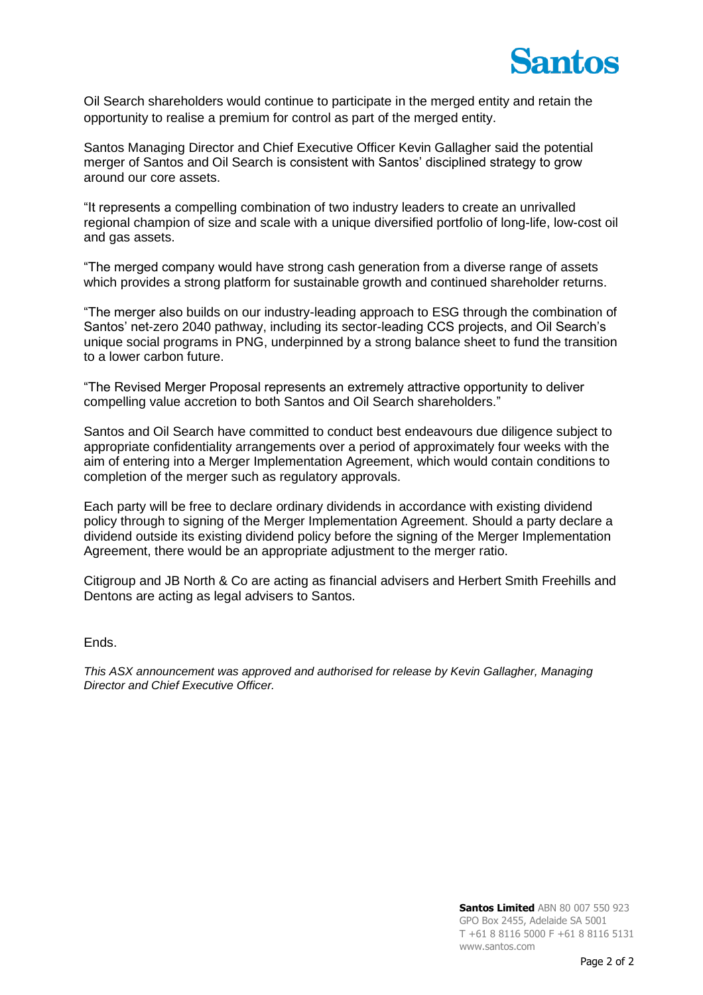

Oil Search shareholders would continue to participate in the merged entity and retain the opportunity to realise a premium for control as part of the merged entity.

Santos Managing Director and Chief Executive Officer Kevin Gallagher said the potential merger of Santos and Oil Search is consistent with Santos' disciplined strategy to grow around our core assets.

"It represents a compelling combination of two industry leaders to create an unrivalled regional champion of size and scale with a unique diversified portfolio of long-life, low-cost oil and gas assets.

"The merged company would have strong cash generation from a diverse range of assets which provides a strong platform for sustainable growth and continued shareholder returns.

"The merger also builds on our industry-leading approach to ESG through the combination of Santos' net-zero 2040 pathway, including its sector-leading CCS projects, and Oil Search's unique social programs in PNG, underpinned by a strong balance sheet to fund the transition to a lower carbon future.

"The Revised Merger Proposal represents an extremely attractive opportunity to deliver compelling value accretion to both Santos and Oil Search shareholders."

Santos and Oil Search have committed to conduct best endeavours due diligence subject to appropriate confidentiality arrangements over a period of approximately four weeks with the aim of entering into a Merger Implementation Agreement, which would contain conditions to completion of the merger such as regulatory approvals.

Each party will be free to declare ordinary dividends in accordance with existing dividend policy through to signing of the Merger Implementation Agreement. Should a party declare a dividend outside its existing dividend policy before the signing of the Merger Implementation Agreement, there would be an appropriate adjustment to the merger ratio.

Citigroup and JB North & Co are acting as financial advisers and Herbert Smith Freehills and Dentons are acting as legal advisers to Santos.

Ends.

*This ASX announcement was approved and authorised for release by Kevin Gallagher, Managing Director and Chief Executive Officer.*

> **Santos Limited** ABN 80 007 550 923 GPO Box 2455, Adelaide SA 5001 T +61 8 8116 5000 F +61 8 8116 5131 www.santos.com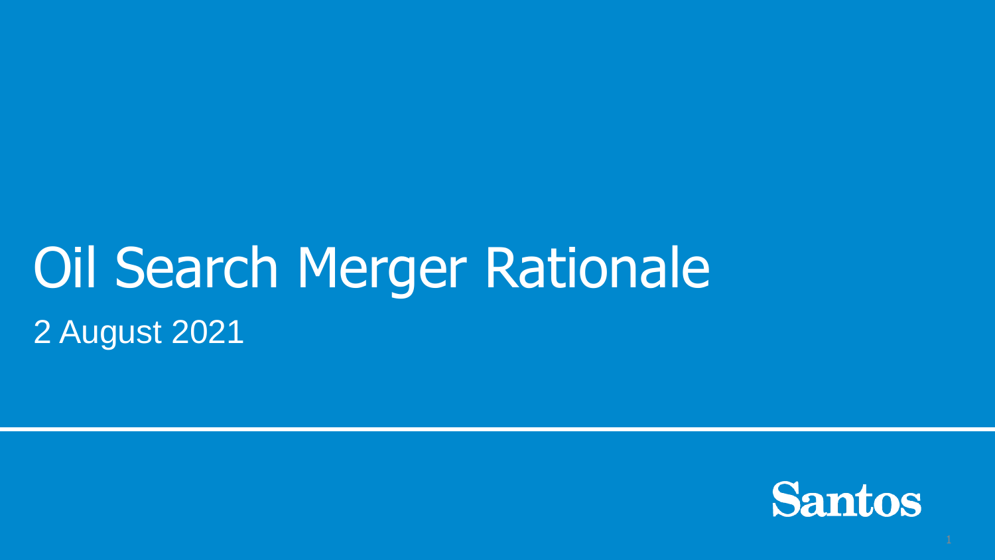# Oil Search Merger Rationale 2 August 2021

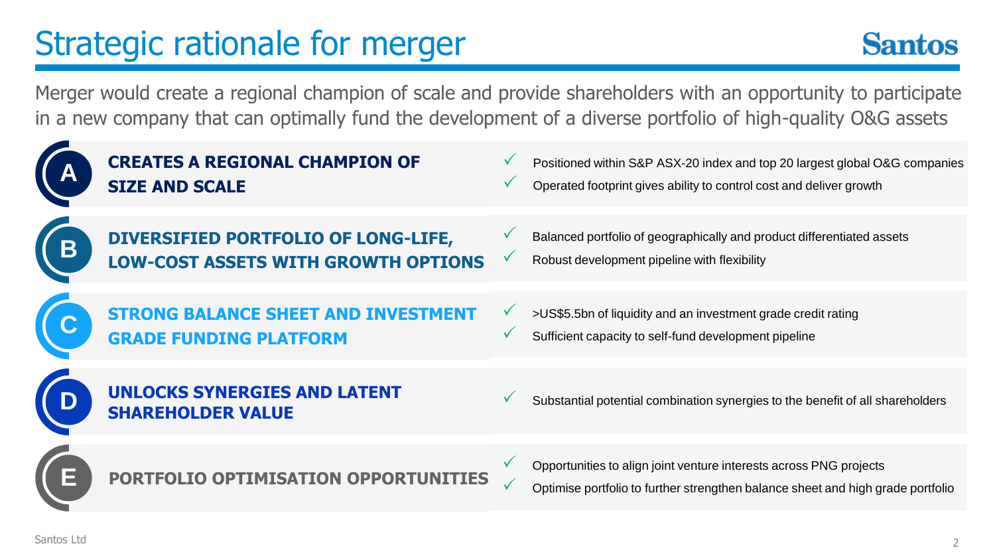### Strategic rationale for merger



Merger would create a regional champion of scale and provide shareholders with an opportunity to participate in a new company that can optimally fund the development of a diverse portfolio of high-quality O&G assets

| <b>CREATES A REGIONAL CHAMPION OF</b><br><b>SIZE AND SCALE</b>              |              | Positioned within S&P ASX-20 index and top 20 largest global O&G companies<br>Operated footprint gives ability to control cost and deliver growth     |
|-----------------------------------------------------------------------------|--------------|-------------------------------------------------------------------------------------------------------------------------------------------------------|
| DIVERSIFIED PORTFOLIO OF LONG-LIFE,<br>LOW-COST ASSETS WITH GROWTH OPTIONS  | $\checkmark$ | Balanced portfolio of geographically and product differentiated assets<br>Robust development pipeline with flexibility                                |
| <b>STRONG BALANCE SHEET AND INVESTMENT</b><br><b>GRADE FUNDING PLATFORM</b> |              | >US\$5.5bn of liquidity and an investment grade credit rating<br>Sufficient capacity to self-fund development pipeline                                |
| <b>UNLOCKS SYNERGIES AND LATENT</b><br><b>SHAREHOLDER VALUE</b>             |              | Substantial potential combination synergies to the benefit of all shareholders                                                                        |
| PORTFOLIO OPTIMISATION OPPORTUNITIES                                        |              | Opportunities to align joint venture interests across PNG projects<br>Optimise portfolio to further strengthen balance sheet and high grade portfolio |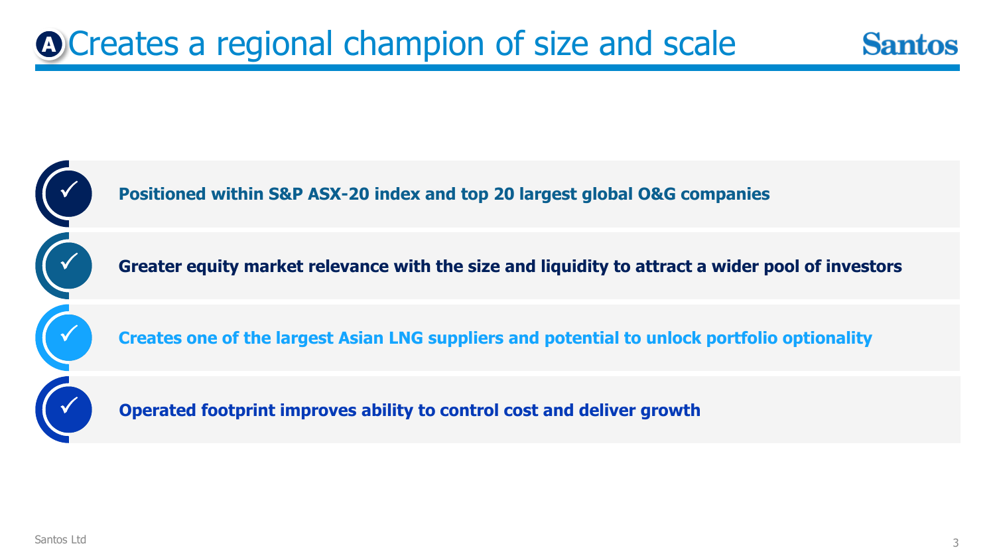### Creates a regional champion of size and scale **A**



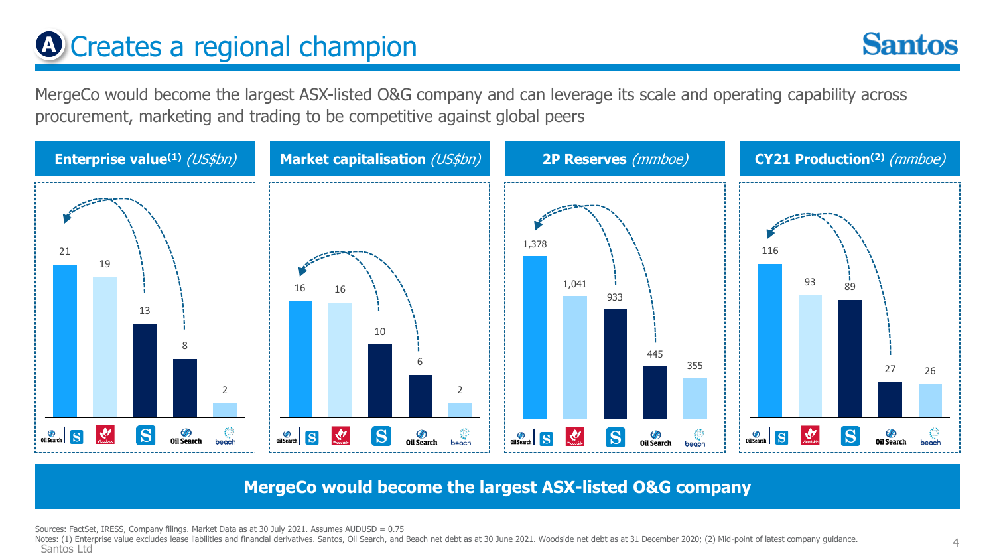### **A** Creates a regional champion

**Santos** 

MergeCo would become the largest ASX-listed O&G company and can leverage its scale and operating capability across procurement, marketing and trading to be competitive against global peers



**MergeCo would become the largest ASX-listed O&G company**

Sources: FactSet, IRESS, Company filings. Market Data as at 30 July 2021. Assumes AUDUSD = 0.75

Notes: (1) Enterprise value excludes lease liabilities and financial derivatives. Santos, Oil Search, and Beach net debt as at 30 June 2021. Woodside net debt as at 31 December 2020; (2) Mid-point of latest company guidanc Santos Ltd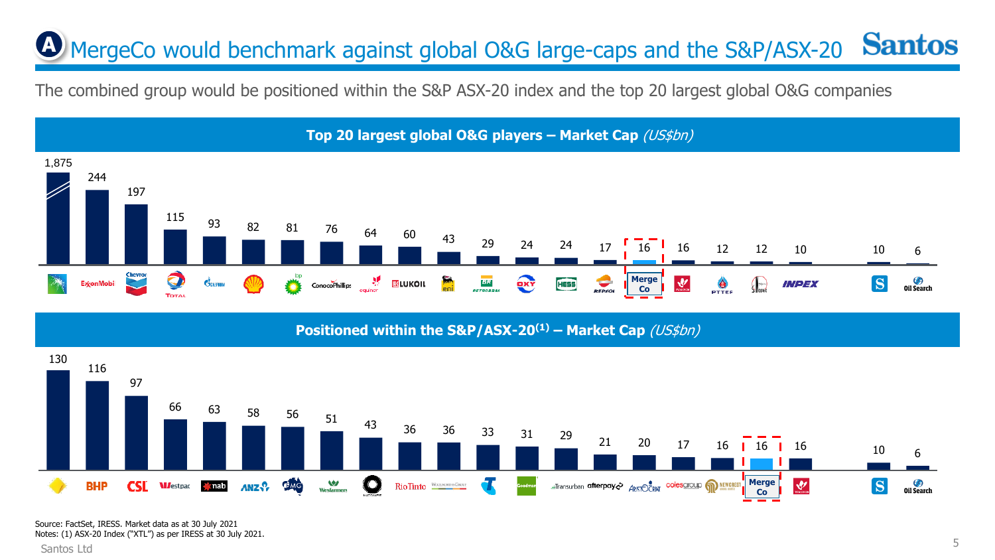#### **Santos A** MergeCo would benchmark against global O&G large-caps and the S&P/ASX-20

The combined group would be positioned within the S&P ASX-20 index and the top 20 largest global O&G companies



#### **Top 20 largest global O&G players – Market Cap** (US\$bn)

**Positioned within the S&P/ASX-20(1) – Market Cap** (US\$bn)



Notes: (1) ASX-20 Index ("XTL") as per IRESS at 30 July 2021.

Santos Ltd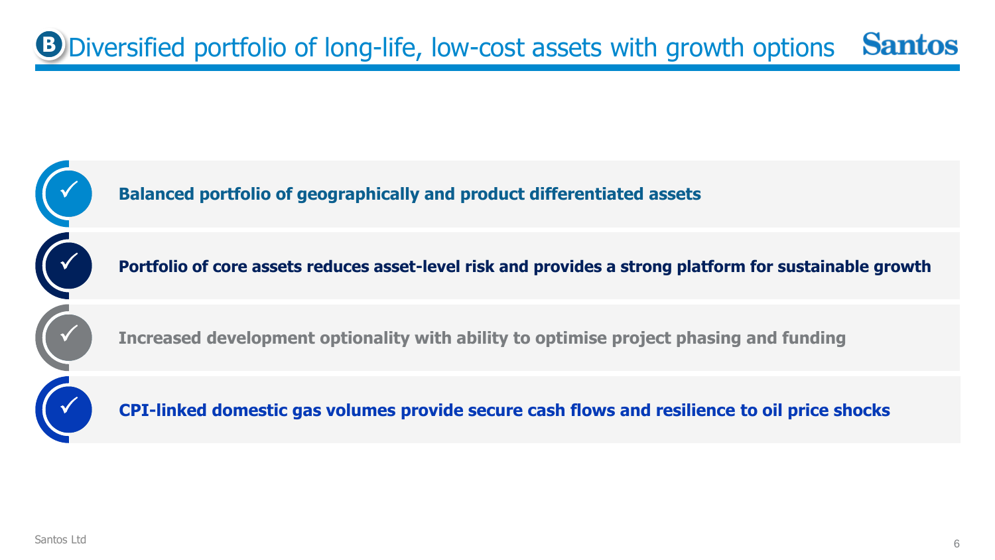#### Diversified portfolio of long-life, low-cost assets with growth options **BSantos**

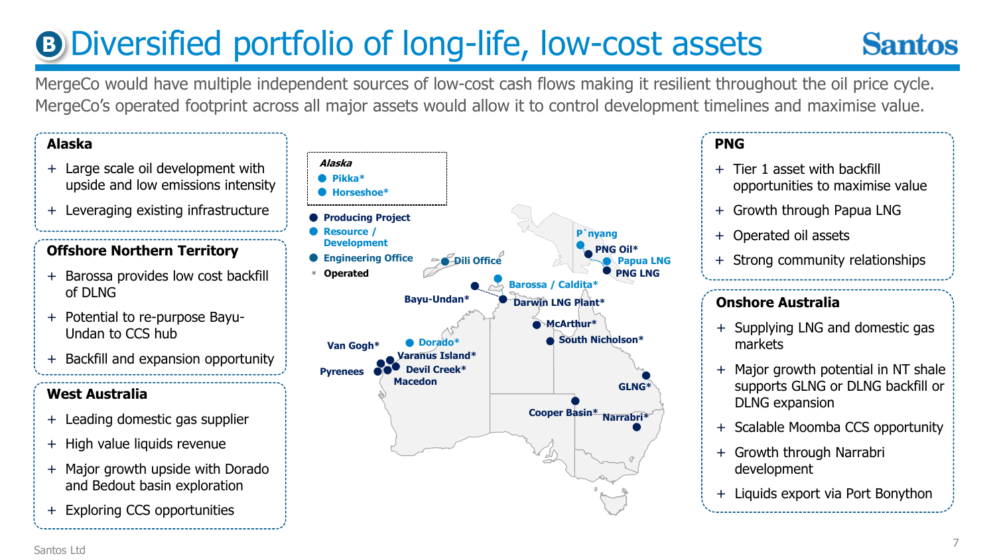## **B Diversified portfolio of long-life, low-cost assets**

### **Santos**

MergeCo would have multiple independent sources of low-cost cash flows making it resilient throughout the oil price cycle. MergeCo's operated footprint across all major assets would allow it to control development timelines and maximise value.

#### **Alaska**

- + Large scale oil development with upside and low emissions intensity
- + Leveraging existing infrastructure

### **Offshore Northern Territory**

- + Barossa provides low cost backfill of DLNG
- + Potential to re-purpose Bayu-Undan to CCS hub
- + Backfill and expansion opportunity

#### **West Australia**

- + Leading domestic gas supplier
- + High value liquids revenue
- + Major growth upside with Dorado and Bedout basin exploration
- + Exploring CCS opportunities



#### **PNG**

- + Tier 1 asset with backfill opportunities to maximise value
- + Growth through Papua LNG
- + Operated oil assets
- + Strong community relationships

#### **Onshore Australia**

- + Supplying LNG and domestic gas markets
- + Major growth potential in NT shale supports GLNG or DLNG backfill or DLNG expansion
- + Scalable Moomba CCS opportunity
- + Growth through Narrabri development
- + Liquids export via Port Bonython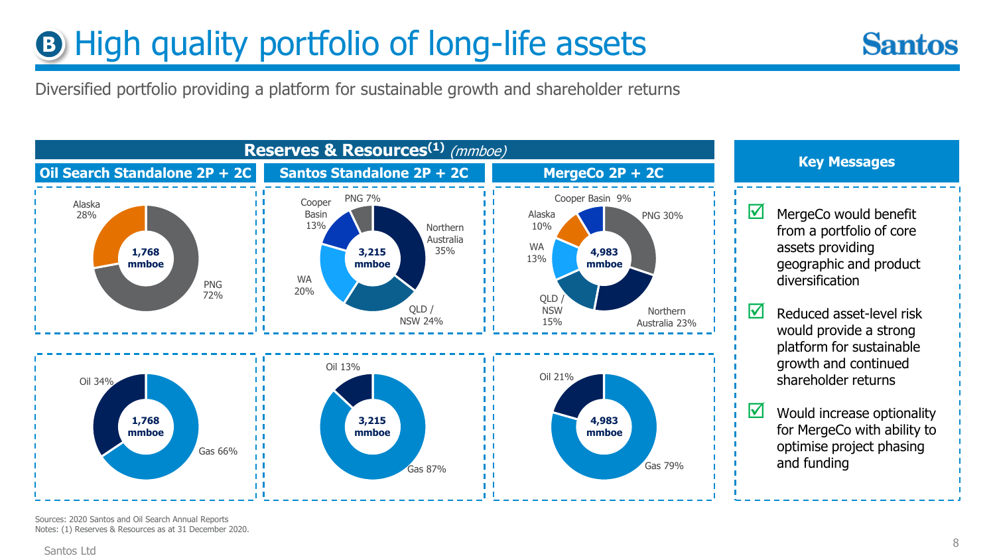### **B** High quality portfolio of long-life assets



Diversified portfolio providing a platform for sustainable growth and shareholder returns



Sources: 2020 Santos and Oil Search Annual Reports Notes: (1) Reserves & Resources as at 31 December 2020.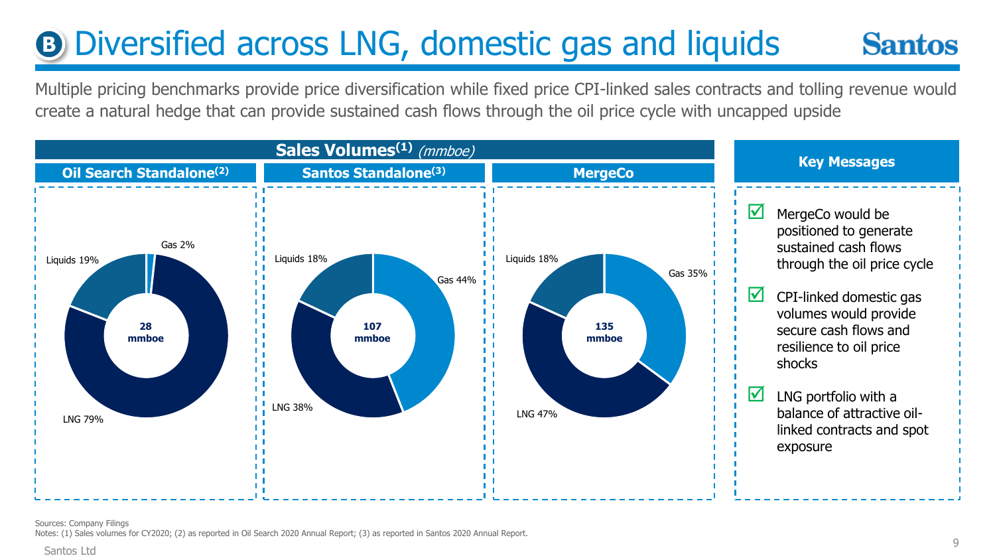#### **B** Diversified across LNG, domestic gas and liquids **Santos**

Multiple pricing benchmarks provide price diversification while fixed price CPI-linked sales contracts and tolling revenue would create a natural hedge that can provide sustained cash flows through the oil price cycle with uncapped upside

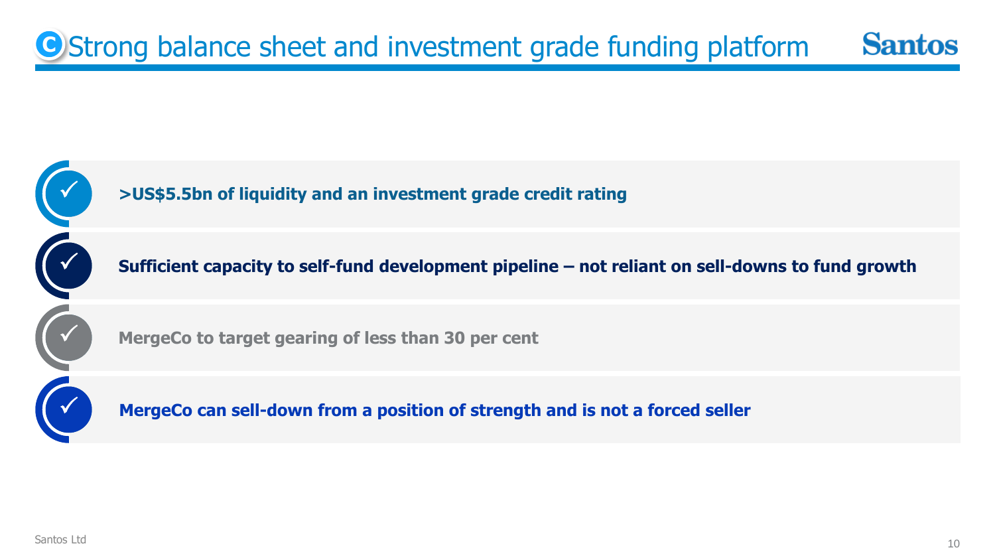#### **C** Strong balance sheet and investment grade funding platform **Santos**

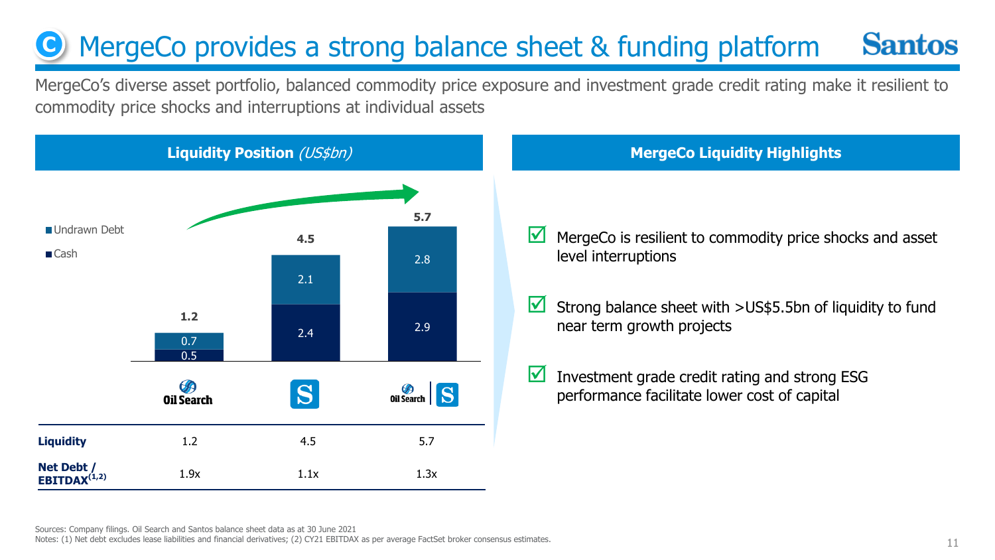#### **Santos C** MergeCo provides a strong balance sheet & funding platform

MergeCo's diverse asset portfolio, balanced commodity price exposure and investment grade credit rating make it resilient to commodity price shocks and interruptions at individual assets



- $\blacksquare$  MergeCo is resilient to commodity price shocks and asset level interruptions
- Strong balance sheet with  $>$ US\$5.5bn of liquidity to fund near term growth projects
- Investment grade credit rating and strong ESG performance facilitate lower cost of capital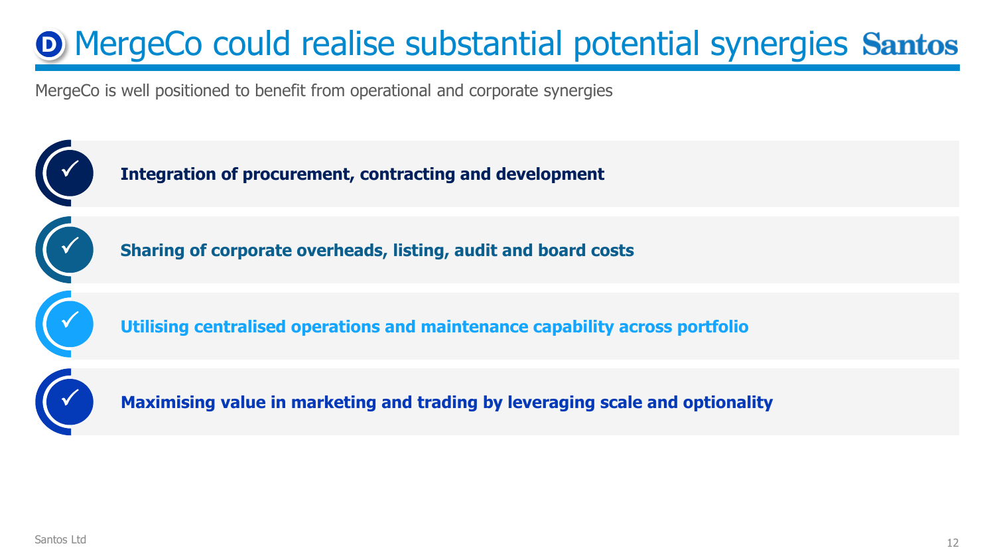### **D** MergeCo could realise substantial potential synergies Santos

MergeCo is well positioned to benefit from operational and corporate synergies

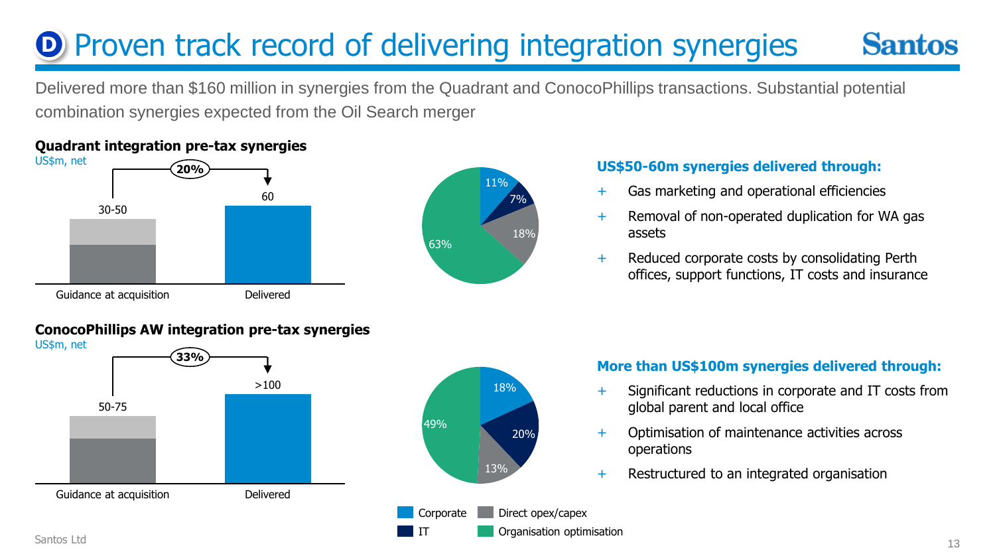#### **D** Proven track record of delivering integration synergies **Santos**

Delivered more than \$160 million in synergies from the Quadrant and ConocoPhillips transactions. Substantial potential combination synergies expected from the Oil Search merger



#### **Quadrant integration pre-tax synergies**



20%

#### **US\$50-60m synergies delivered through:**

- + Gas marketing and operational efficiencies
- + Removal of non-operated duplication for WA gas assets
- + Reduced corporate costs by consolidating Perth offices, support functions, IT costs and insurance

#### **ConocoPhillips AW integration pre-tax synergies**



#### **More than US\$100m synergies delivered through:**

- Significant reductions in corporate and IT costs from global parent and local office
- Optimisation of maintenance activities across operations
- + Restructured to an integrated organisation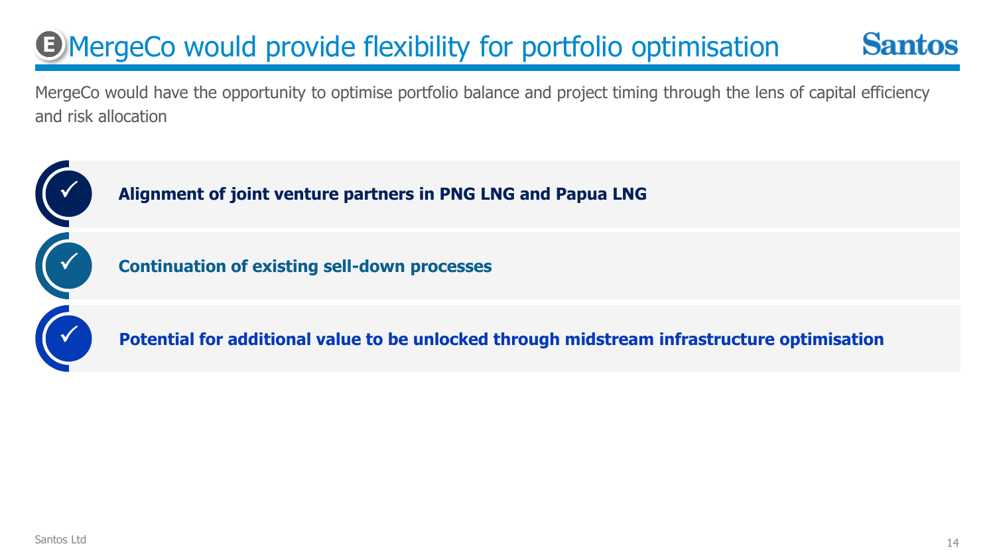### MergeCo would provide flexibility for portfolio optimisation **E**

MergeCo would have the opportunity to optimise portfolio balance and project timing through the lens of capital efficiency and risk allocation



**Santos**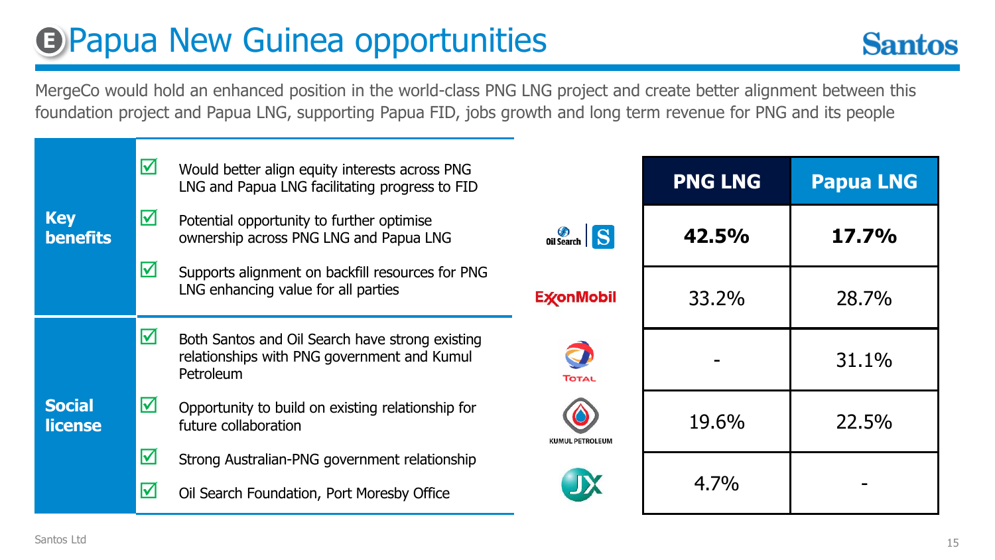### **E** Papua New Guinea opportunities



MergeCo would hold an enhanced position in the world-class PNG LNG project and create better alignment between this foundation project and Papua LNG, supporting Papua FID, jobs growth and long term revenue for PNG and its people

|                                 |                 | ☑                                                | Would better align equity interests across PNG<br>LNG and Papua LNG facilitating progress to FID                   |                        | <b>PNG LNG</b> | <b>Papua LNG</b> |
|---------------------------------|-----------------|--------------------------------------------------|--------------------------------------------------------------------------------------------------------------------|------------------------|----------------|------------------|
| <b>Key</b>                      | <b>benefits</b> | ☑                                                | Potential opportunity to further optimise<br>ownership across PNG LNG and Papua LNG                                | Oil Search S           | 42.5%          | 17.7%            |
|                                 |                 | $\overline{\mathbf{v}}$                          | Supports alignment on backfill resources for PNG<br>LNG enhancing value for all parties                            | <b>ExconMobil</b>      | 33.2%          | 28.7%            |
|                                 |                 | ☑                                                | Both Santos and Oil Search have strong existing<br>relationships with PNG government and Kumul<br><b>Petroleum</b> | TOTAL                  |                | 31.1%            |
| <b>Social</b><br><b>license</b> |                 | ☑                                                | Opportunity to build on existing relationship for<br>future collaboration                                          | <b>KUMUL PETROLEUM</b> | 19.6%          | 22.5%            |
|                                 |                 | $\boldsymbol{\nabla}$<br>$\overline{\mathbf{M}}$ | Strong Australian-PNG government relationship<br>Oil Search Foundation, Port Moresby Office                        | JX                     | 4.7%           |                  |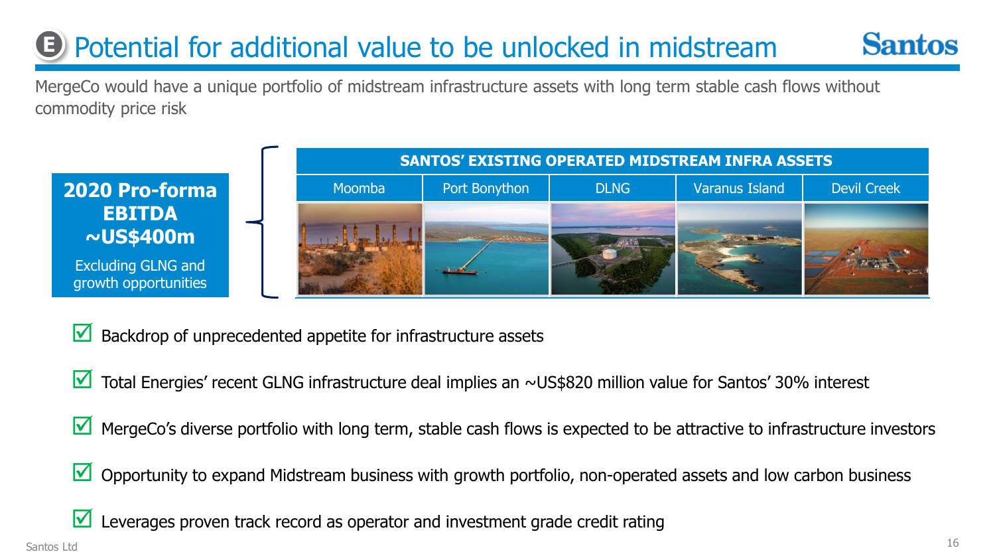### **E** Potential for additional value to be unlocked in midstream



MergeCo would have a unique portfolio of midstream infrastructure assets with long term stable cash flows without commodity price risk



 $\blacksquare$  Backdrop of unprecedented appetite for infrastructure assets

- $\blacksquare$  Total Energies' recent GLNG infrastructure deal implies an ~US\$820 million value for Santos' 30% interest
- MergeCo's diverse portfolio with long term, stable cash flows is expected to be attractive to infrastructure investors
- $\blacksquare$  Opportunity to expand Midstream business with growth portfolio, non-operated assets and low carbon business
- Leverages proven track record as operator and investment grade credit rating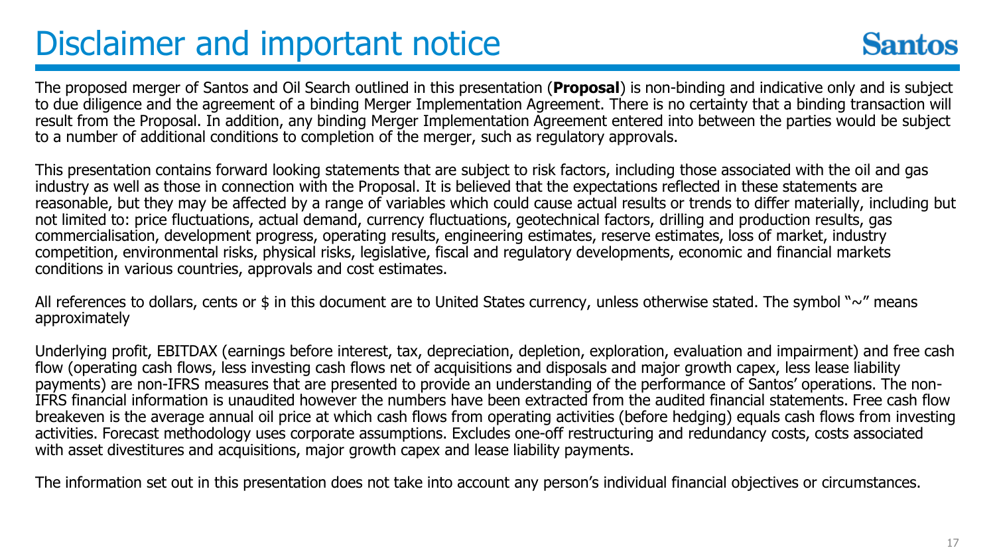### Disclaimer and important notice



The proposed merger of Santos and Oil Search outlined in this presentation (**Proposal**) is non-binding and indicative only and is subject to due diligence and the agreement of a binding Merger Implementation Agreement. There is no certainty that a binding transaction will result from the Proposal. In addition, any binding Merger Implementation Agreement entered into between the parties would be subject to a number of additional conditions to completion of the merger, such as regulatory approvals.

This presentation contains forward looking statements that are subject to risk factors, including those associated with the oil and gas industry as well as those in connection with the Proposal. It is believed that the expectations reflected in these statements are reasonable, but they may be affected by a range of variables which could cause actual results or trends to differ materially, including but not limited to: price fluctuations, actual demand, currency fluctuations, geotechnical factors, drilling and production results, gas commercialisation, development progress, operating results, engineering estimates, reserve estimates, loss of market, industry competition, environmental risks, physical risks, legislative, fiscal and regulatory developments, economic and financial markets conditions in various countries, approvals and cost estimates.

All references to dollars, cents or \$ in this document are to United States currency, unless otherwise stated. The symbol " $\sim$ " means approximately

Underlying profit, EBITDAX (earnings before interest, tax, depreciation, depletion, exploration, evaluation and impairment) and free cash flow (operating cash flows, less investing cash flows net of acquisitions and disposals and major growth capex, less lease liability payments) are non-IFRS measures that are presented to provide an understanding of the performance of Santos' operations. The non-IFRS financial information is unaudited however the numbers have been extracted from the audited financial statements. Free cash flow breakeven is the average annual oil price at which cash flows from operating activities (before hedging) equals cash flows from investing activities. Forecast methodology uses corporate assumptions. Excludes one-off restructuring and redundancy costs, costs associated with asset divestitures and acquisitions, major growth capex and lease liability payments.

The information set out in this presentation does not take into account any person's individual financial objectives or circumstances.